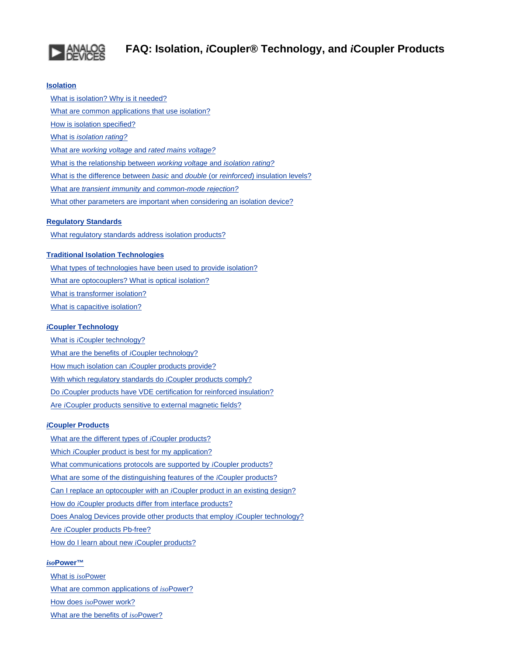<span id="page-0-0"></span>

## **[Isolation](#page-1-0)**

 [What is isolation? Why is it needed?](#page-0-0) [What are common applications that use isolation?](#page-0-0) [How is isolation specified?](#page-1-1) What is *[isolation rating?](#page-1-2)* What are *working voltage* and *[rated mains voltage?](#page-0-0)* [What is the relationship between](#page-2-0) *working voltage* and *isolation rating?* [What is the difference between](#page-2-1) *basic* and *double* (or *reinforced*) insulation levels? What are *transient immunity* and *[common-mode rejection?](#page-2-2)* [What other parameters are important when considering an isolation device?](#page-2-3)

## **[Regulatory Standards](#page-3-0)**

[What regulatory standards address isolation products?](#page-3-1)

## **[Traditional Isolation Technologies](#page-3-2)**

 [What types of technologies have been used to provide isolation?](#page-3-3) [What are optocouplers? What is optical isolation?](#page-3-4) [What is transformer isolation?](#page-3-5) [What is capacitive isolation?](#page-4-0)

## *i***[Coupler Technology](#page-4-1)**

 What is *i*[Coupler technology?](#page-4-2) [What are the benefits of](#page-4-3) *i*Coupler technology? How much isolation can *i*[Coupler products provide?](#page-0-0) [With which regulatory standards do](#page-5-0) *i*Coupler products comply? Do *i*[Coupler products have VDE certification for reinforced insulation?](#page-5-1) Are *i*[Coupler products sensitive to external magnetic fields?](#page-5-2)

#### *i***[Coupler Products](#page-5-3)**

 [What are the different types of](#page-5-4) *i*Coupler products? Which *i*[Coupler product is best for my application?](#page-6-0) [What communications protocols are supported by](#page-6-1) *i*Coupler products? [What are some of the distinguishing features of the](#page-6-2) *i*Coupler products? Can I replace an optocoupler with an *i*[Coupler product in an existing design?](#page-6-3) How do *i*[Coupler products differ from interface products?](#page-6-4) [Does Analog Devices provide other products that employ](#page-6-5) *i*Coupler technology? Are *i*[Coupler products Pb-free?](#page-6-6) [How do I learn about new](#page-6-7) *i*Coupler products?

## *iso***[Power™](#page-0-0)**

 [What is](#page-7-0) *iso*Power [What are common applications of](#page-0-0) *iso*Power? How does *iso*[Power work?](#page-7-1) [What are the benefits of](#page-0-0) *iso*Power?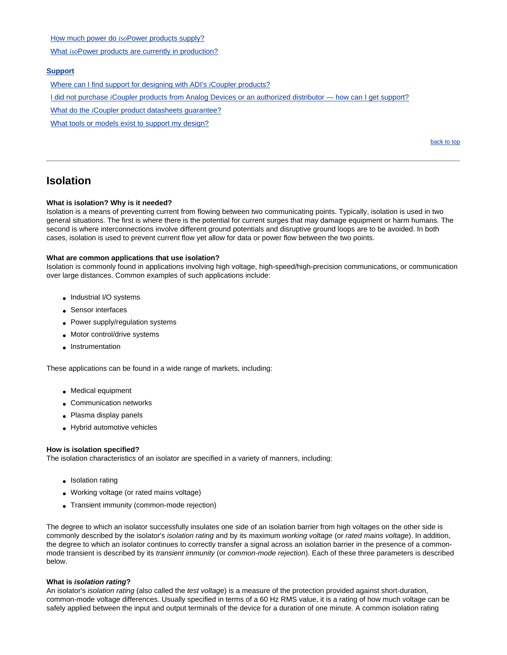How much power do *iso*[Power products supply?](#page-7-2)

What *iso*[Power products are currently in production?](#page-7-3)

#### **[Support](#page-8-0)**

[Where can I find support for designing with ADI's](#page-8-1) *i*Coupler products?

I did not purchase *i*[Coupler products from Analog Devices or an authorized distributor — how can I get support?](#page-8-2)

What do the *i*[Coupler product datasheets guarantee?](#page-8-3)

[What tools or models exist to support my design?](#page-8-4)

[back to top](#page-0-0)

## <span id="page-1-0"></span>**Isolation**

#### **What is isolation? Why is it needed?**

Isolation is a means of preventing current from flowing between two communicating points. Typically, isolation is used in two general situations. The first is where there is the potential for current surges that may damage equipment or harm humans. The second is where interconnections involve different ground potentials and disruptive ground loops are to be avoided. In both cases, isolation is used to prevent current flow yet allow for data or power flow between the two points.

#### **What are common applications that use isolation?**

Isolation is commonly found in applications involving high voltage, high-speed/high-precision communications, or communication over large distances. Common examples of such applications include:

- Industrial I/O systems
- Sensor interfaces
- Power supply/regulation systems
- Motor control/drive systems
- Instrumentation

These applications can be found in a wide range of markets, including:

- Medical equipment
- Communication networks
- Plasma display panels
- Hybrid automotive vehicles

#### <span id="page-1-1"></span>**How is isolation specified?**

The isolation characteristics of an isolator are specified in a variety of manners, including:

- Isolation rating
- Working voltage (or rated mains voltage)
- Transient immunity (common-mode rejection)

The degree to which an isolator successfully insulates one side of an isolation barrier from high voltages on the other side is commonly described by the isolator's *isolation rating* and by its maximum *working voltage* (or *rated mains voltage*). In addition, the degree to which an isolator continues to correctly transfer a signal across an isolation barrier in the presence of a commonmode transient is described by its *transient immunity* (or *common-mode rejection*). Each of these three parameters is described below.

#### <span id="page-1-2"></span>**What is** *isolation rating***?**

An isolator's *isolation rating* (also called the *test voltag*e) is a measure of the protection provided against short-duration, common-mode voltage differences. Usually specified in terms of a 60 Hz RMS value, it is a rating of how much voltage can be safely applied between the input and output terminals of the device for a duration of one minute. A common isolation rating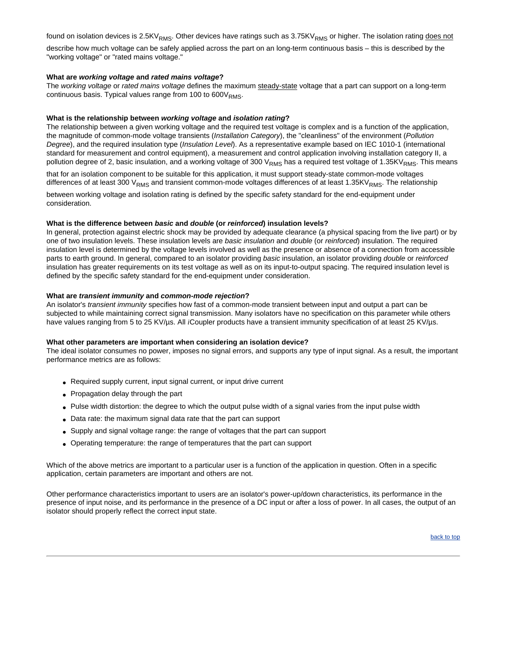found on isolation devices is 2.5KV<sub>RMS</sub>. Other devices have ratings such as 3.75KV<sub>RMS</sub> or higher. The isolation rating does not describe how much voltage can be safely applied across the part on an long-term continuous basis – this is described by the "working voltage" or "rated mains voltage."

### **What are** *working voltage* **and** *rated mains voltage***?**

The *working voltage* or *rated mains voltage* defines the maximum steady-state voltage that a part can support on a long-term continuous basis. Typical values range from 100 to  $600V<sub>RMS</sub>$ .

### <span id="page-2-0"></span>**What is the relationship between** *working voltage* **and** *isolation rating***?**

The relationship between a given working voltage and the required test voltage is complex and is a function of the application, the magnitude of common-mode voltage transients (*Installation Category*), the "cleanliness" of the environment (*Pollution Degree*), and the required insulation type (*Insulation Level*). As a representative example based on IEC 1010-1 (international standard for measurement and control equipment), a measurement and control application involving installation category II, a pollution degree of 2, basic insulation, and a working voltage of 300 V<sub>RMS</sub> has a required test voltage of 1.35KV<sub>RMS</sub>. This means

that for an isolation component to be suitable for this application, it must support steady-state common-mode voltages differences of at least 300  $V_{RMS}$  and transient common-mode voltages differences of at least 1.35KV<sub>RMS</sub>. The relationship

between working voltage and isolation rating is defined by the specific safety standard for the end-equipment under consideration.

#### <span id="page-2-1"></span>**What is the difference between** *basic* **and** *double* **(or** *reinforced***) insulation levels?**

In general, protection against electric shock may be provided by adequate clearance (a physical spacing from the live part) or by one of two insulation levels. These insulation levels are *basic insulation* and *double* (or *reinforced*) insulation. The required insulation level is determined by the voltage levels involved as well as the presence or absence of a connection from accessible parts to earth ground. In general, compared to an isolator providing *basic* insulation, an isolator providing *double* or *reinforced* insulation has greater requirements on its test voltage as well as on its input-to-output spacing. The required insulation level is defined by the specific safety standard for the end-equipment under consideration.

#### <span id="page-2-2"></span>**What are** *transient immunity* **and** *common-mode rejection***?**

An isolator's *transient immunity* specifies how fast of a common-mode transient between input and output a part can be subjected to while maintaining correct signal transmission. Many isolators have no specification on this parameter while others have values ranging from 5 to 25 KV/µs. All *i*Coupler products have a transient immunity specification of at least 25 KV/µs.

#### <span id="page-2-3"></span>**What other parameters are important when considering an isolation device?**

The ideal isolator consumes no power, imposes no signal errors, and supports any type of input signal. As a result, the important performance metrics are as follows:

- Required supply current, input signal current, or input drive current
- Propagation delay through the part
- Pulse width distortion: the degree to which the output pulse width of a signal varies from the input pulse width
- Data rate: the maximum signal data rate that the part can support
- Supply and signal voltage range: the range of voltages that the part can support
- Operating temperature: the range of temperatures that the part can support

Which of the above metrics are important to a particular user is a function of the application in question. Often in a specific application, certain parameters are important and others are not.

Other performance characteristics important to users are an isolator's power-up/down characteristics, its performance in the presence of input noise, and its performance in the presence of a DC input or after a loss of power. In all cases, the output of an isolator should properly reflect the correct input state.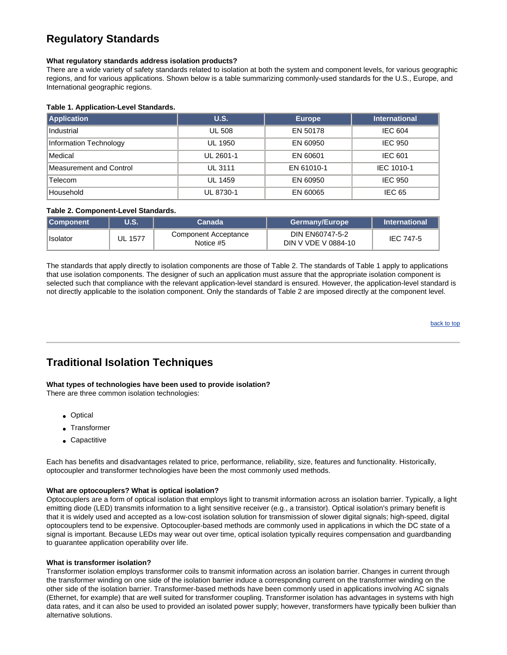# <span id="page-3-0"></span>**Regulatory Standards**

### <span id="page-3-1"></span>**What regulatory standards address isolation products?**

There are a wide variety of safety standards related to isolation at both the system and component levels, for various geographic regions, and for various applications. Shown below is a table summarizing commonly-used standards for the U.S., Europe, and International geographic regions.

## **Table 1. Application-Level Standards.**

| Application                    | U.S.          | <b>Europe</b> | <b>International</b> |
|--------------------------------|---------------|---------------|----------------------|
| Industrial                     | <b>UL 508</b> | EN 50178      | <b>IEC 604</b>       |
| Information Technology         | UL 1950       | EN 60950      | <b>IEC 950</b>       |
| Medical                        | UL 2601-1     | EN 60601      | <b>IEC 601</b>       |
| <b>Measurement and Control</b> | UL 3111       | EN 61010-1    | IEC 1010-1           |
| Telecom                        | UL 1459       | EN 60950      | <b>IEC 950</b>       |
| Household                      | UL 8730-1     | EN 60065      | <b>IEC 65</b>        |

### **Table 2. Component-Level Standards.**

| <b>Component</b> | <b>U.S.</b>    | Canada                            | <b>Germany/Europe</b>                  | <b>International</b> |
|------------------|----------------|-----------------------------------|----------------------------------------|----------------------|
| Isolator         | <b>UL 1577</b> | Component Acceptance<br>Notice #5 | DIN EN60747-5-2<br>DIN V VDE V 0884-10 | <b>IEC 747-5</b>     |

The standards that apply directly to isolation components are those of Table 2. The standards of Table 1 apply to applications that use isolation components. The designer of such an application must assure that the appropriate isolation component is selected such that compliance with the relevant application-level standard is ensured. However, the application-level standard is not directly applicable to the isolation component. Only the standards of Table 2 are imposed directly at the component level.

[back to top](#page-0-0)

## <span id="page-3-2"></span>**Traditional Isolation Techniques**

## <span id="page-3-3"></span>**What types of technologies have been used to provide isolation?**

There are three common isolation technologies:

- Optical
- Transformer
- Capactitive

Each has benefits and disadvantages related to price, performance, reliability, size, features and functionality. Historically, optocoupler and transformer technologies have been the most commonly used methods.

#### <span id="page-3-4"></span>**What are optocouplers? What is optical isolation?**

Optocouplers are a form of optical isolation that employs light to transmit information across an isolation barrier. Typically, a light emitting diode (LED) transmits information to a light sensitive receiver (e.g., a transistor). Optical isolation's primary benefit is that it is widely used and accepted as a low-cost isolation solution for transmission of slower digital signals; high-speed, digital optocouplers tend to be expensive. Optocoupler-based methods are commonly used in applications in which the DC state of a signal is important. Because LEDs may wear out over time, optical isolation typically requires compensation and guardbanding to guarantee application operability over life.

#### <span id="page-3-5"></span>**What is transformer isolation?**

Transformer isolation employs transformer coils to transmit information across an isolation barrier. Changes in current through the transformer winding on one side of the isolation barrier induce a corresponding current on the transformer winding on the other side of the isolation barrier. Transformer-based methods have been commonly used in applications involving AC signals (Ethernet, for example) that are well suited for transformer coupling. Transformer isolation has advantages in systems with high data rates, and it can also be used to provided an isolated power supply; however, transformers have typically been bulkier than alternative solutions.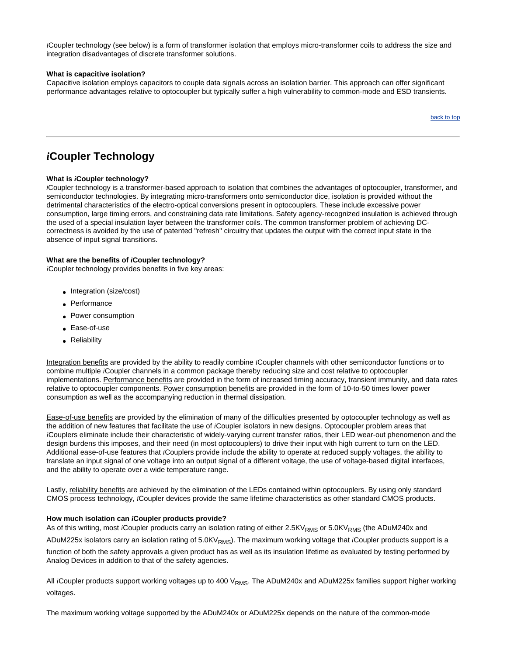*i*Coupler technology (see below) is a form of transformer isolation that employs micro-transformer coils to address the size and integration disadvantages of discrete transformer solutions.

#### <span id="page-4-0"></span>**What is capacitive isolation?**

Capacitive isolation employs capacitors to couple data signals across an isolation barrier. This approach can offer significant performance advantages relative to optocoupler but typically suffer a high vulnerability to common-mode and ESD transients.

[back to top](#page-0-0)

# <span id="page-4-1"></span>*i***Coupler Technology**

## <span id="page-4-2"></span>**What is** *i***Coupler technology?**

*i*Coupler technology is a transformer-based approach to isolation that combines the advantages of optocoupler, transformer, and semiconductor technologies. By integrating micro-transformers onto semiconductor dice, isolation is provided without the detrimental characteristics of the electro-optical conversions present in optocouplers. These include excessive power consumption, large timing errors, and constraining data rate limitations. Safety agency-recognized insulation is achieved through the used of a special insulation layer between the transformer coils. The common transformer problem of achieving DCcorrectness is avoided by the use of patented "refresh" circuitry that updates the output with the correct input state in the absence of input signal transitions.

### <span id="page-4-3"></span>**What are the benefits of** *i***Coupler technology?**

*i*Coupler technology provides benefits in five key areas:

- Integration (size/cost)
- Performance
- Power consumption
- Ease-of-use
- Reliability

Integration benefits are provided by the ability to readily combine *i*Coupler channels with other semiconductor functions or to combine multiple *i*Coupler channels in a common package thereby reducing size and cost relative to optocoupler implementations. Performance benefits are provided in the form of increased timing accuracy, transient immunity, and data rates relative to optocoupler components. Power consumption benefits are provided in the form of 10-to-50 times lower power consumption as well as the accompanying reduction in thermal dissipation.

Ease-of-use benefits are provided by the elimination of many of the difficulties presented by optocoupler technology as well as the addition of new features that facilitate the use of *i*Coupler isolators in new designs. Optocoupler problem areas that *i*Couplers eliminate include their characteristic of widely-varying current transfer ratios, their LED wear-out phenomenon and the design burdens this imposes, and their need (in most optocouplers) to drive their input with high current to turn on the LED. Additional ease-of-use features that *i*Couplers provide include the ability to operate at reduced supply voltages, the ability to translate an input signal of one voltage into an output signal of a different voltage, the use of voltage-based digital interfaces, and the ability to operate over a wide temperature range.

Lastly, reliability benefits are achieved by the elimination of the LEDs contained within optocouplers. By using only standard CMOS process technology, *i*Coupler devices provide the same lifetime characteristics as other standard CMOS products.

#### **How much isolation can** *i***Coupler products provide?**

As of this writing, most *i*Coupler products carry an isolation rating of either 2.5KV<sub>RMS</sub> or 5.0KV<sub>RMS</sub> (the ADuM240x and

ADuM225x isolators carry an isolation rating of 5.0KV<sub>RMS</sub>). The maximum working voltage that *iCoupler products support is a* 

function of both the safety approvals a given product has as well as its insulation lifetime as evaluated by testing performed by Analog Devices in addition to that of the safety agencies.

All *i*Coupler products support working voltages up to 400 V<sub>RMS</sub>. The ADuM240x and ADuM225x families support higher working voltages.

The maximum working voltage supported by the ADuM240x or ADuM225x depends on the nature of the common-mode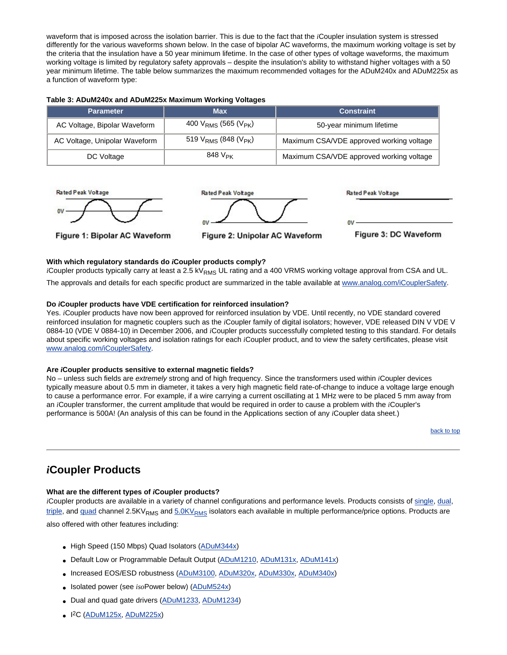waveform that is imposed across the isolation barrier. This is due to the fact that the *i*Coupler insulation system is stressed differently for the various waveforms shown below. In the case of bipolar AC waveforms, the maximum working voltage is set by the criteria that the insulation have a 50 year minimum lifetime. In the case of other types of voltage waveforms, the maximum working voltage is limited by regulatory safety approvals – despite the insulation's ability to withstand higher voltages with a 50 year minimum lifetime. The table below summarizes the maximum recommended voltages for the ADuM240x and ADuM225x as a function of waveform type:

| <b>Parameter</b>              | <b>Max</b>                      | <b>Constraint</b>                        |
|-------------------------------|---------------------------------|------------------------------------------|
| AC Voltage, Bipolar Waveform  | 400 $V_{RMS}$ (565 ( $V_{PK}$ ) | 50-year minimum lifetime                 |
| AC Voltage, Unipolar Waveform | 519 $V_{RMS}$ (848 ( $V_{PK}$ ) | Maximum CSA/VDE approved working voltage |
| DC Voltage                    | 848 $V_{\text{PK}}$             | Maximum CSA/VDE approved working voltage |



Figure 1: Bipolar AC Waveform



Figure 2: Unipolar AC Waveform

nu Figure 3: DC Waveform

**Rated Peak Voltage** 

### <span id="page-5-0"></span>**With which regulatory standards do** *i***Coupler products comply?**

*i*Coupler products typically carry at least a 2.5 kV<sub>RMS</sub> UL rating and a 400 VRMS working voltage approval from CSA and UL.

The approvals and details for each specific product are summarized in the table available at [www.analog.com/iCouplerSafety.](http://www.analog.com/iCouplerSafety)

#### <span id="page-5-1"></span>**Do** *i***Coupler products have VDE certification for reinforced insulation?**

Yes. *i*Coupler products have now been approved for reinforced insulation by VDE. Until recently, no VDE standard covered reinforced insulation for magnetic couplers such as the *i*Coupler family of digital isolators; however, VDE released DIN V VDE V 0884-10 (VDE V 0884-10) in December 2006, and *i*Coupler products successfully completed testing to this standard. For details about specific working voltages and isolation ratings for each *i*Coupler product, and to view the safety certificates, please visit [www.analog.com/iCouplerSafety.](http://www.analog.com/iCouplerSafety)

#### <span id="page-5-2"></span>**Are** *i***Coupler products sensitive to external magnetic fields?**

No – unless such fields are *extremely* strong and of high frequency. Since the transformers used within *i*Coupler devices typically measure about 0.5 mm in diameter, it takes a very high magnetic field rate-of-change to induce a voltage large enough to cause a performance error. For example, if a wire carrying a current oscillating at 1 MHz were to be placed 5 mm away from an *i*Coupler transformer, the current amplitude that would be required in order to cause a problem with the *i*Coupler's performance is 500A! (An analysis of this can be found in the Applications section of any *i*Coupler data sheet.)

[back to top](#page-0-0)

## <span id="page-5-3"></span>*i***Coupler Products**

## <span id="page-5-4"></span>**What are the different types of** *i***Coupler products?**

*i*Coupler products are available in a variety of channel configurations and performance levels. Products consists of [single,](http://www.analog.com/adum1100) [dual](http://www.analog.com/adum120x), [triple](http://www.analog.com/adum130x), and [quad](http://www.analog.com/adum140x) channel 2.5KV<sub>RMS</sub> and 5.0KV<sub>RMS</sub> isolators each available in multiple performance/price options. Products are also offered with other features including:

• High Speed (150 Mbps) Quad Isolators [\(ADuM344x\)](http://www.analog.com/en/prod/0,2877,ADUM3440,00.html)

- Default Low or Programmable Default Output ([ADuM1210,](http://www.analog.com/adum1210) [ADuM131x,](http://www.analog.com/adum131x) [ADuM141x\)](http://www.analog.com/adum141x)
- Increased EOS/ESD robustness ([ADuM3100,](http://www.analog.com/adum3100) [ADuM320x,](http://www.analog.com/adum320x) [ADuM330x,](http://www.analog.com/adum330x) [ADuM340x\)](http://www.analog.com/adum340x)
- Isolated power (see *iso*Power below) ([ADuM524x](http://www.analog.com/adum524x))
- Dual and quad gate drivers ([ADuM1233,](http://www.analog.com/adum1233) [ADuM1234](http://www.analog.com/adum1234))
- I2C [\(ADuM125x,](http://www.analog.com/adum125x) [ADuM225x\)](http://www.analog.com/adum225x)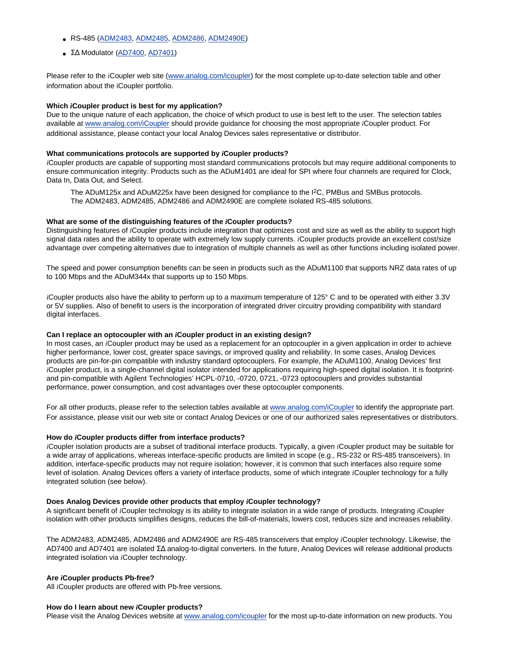- RS-485 [\(ADM2483](http://www.analog.com/RS485), [ADM2485](http://www.analog.com/RS485), [ADM2486,](http://www.analog.com/RS485) [ADM2490E](http://www.analog.com/RS485))
- ΣΔ Modulator ([AD7400](http://www.analog.com/AD7400), [AD7401\)](http://www.analog.com/AD7401)

Please refer to the *i*Coupler web site [\(www.analog.com/icoupler\)](http://www.analog.com/icoupler) for the most complete up-to-date selection table and other information about the iCoupler portfolio.

#### <span id="page-6-0"></span>**Which** *i***Coupler product is best for my application?**

Due to the unique nature of each application, the choice of which product to use is best left to the user. The selection tables available at [www.analog.com/iCoupler](http://www.analog.com/iCoupler) should provide guidance for choosing the most appropriate *i*Coupler product. For additional assistance, please contact your local Analog Devices sales representative or distributor.

#### <span id="page-6-1"></span>**What communications protocols are supported by** *i***Coupler products?**

*i*Coupler products are capable of supporting most standard communications protocols but may require additional components to ensure communication integrity. Products such as the ADuM1401 are ideal for SPI where four channels are required for Clock, Data In, Data Out, and Select.

The ADuM125x and ADuM225x have been designed for compliance to the I<sup>2</sup>C, PMBus and SMBus protocols. The ADM2483, ADM2485, ADM2486 and ADM2490E are complete isolated RS-485 solutions.

#### <span id="page-6-2"></span>**What are some of the distinguishing features of the** *i***Coupler products?**

Distinguishing features of *i*Coupler products include integration that optimizes cost and size as well as the ability to support high signal data rates and the ability to operate with extremely low supply currents. *i*Coupler products provide an excellent cost/size advantage over competing alternatives due to integration of multiple channels as well as other functions including isolated power.

The speed and power consumption benefits can be seen in products such as the ADuM1100 that supports NRZ data rates of up to 100 Mbps and the ADuM344x that supports up to 150 Mbps.

*i*Coupler products also have the ability to perform up to a maximum temperature of 125° C and to be operated with either 3.3V or 5V supplies. Also of benefit to users is the incorporation of integrated driver circuitry providing compatibility with standard digital interfaces.

#### <span id="page-6-3"></span>**Can I replace an optocoupler with an** *i***Coupler product in an existing design?**

In most cases, an *i*Coupler product may be used as a replacement for an optocoupler in a given application in order to achieve higher performance, lower cost, greater space savings, or improved quality and reliability. In some cases, Analog Devices products are pin-for-pin compatible with industry standard optocouplers. For example, the ADuM1100, Analog Devices' first *i*Coupler product, is a single-channel digital isolator intended for applications requiring high-speed digital isolation. It is footprintand pin-compatible with Agilent Technologies' HCPL-0710, -0720, 0721, -0723 optocouplers and provides substantial performance, power consumption, and cost advantages over these optocoupler components.

For all other products, please refer to the selection tables available at [www.analog.com/iCoupler](http://www.analog.com/iCoupler) to identify the appropriate part. For assistance, please visit our web site or contact Analog Devices or one of our authorized sales representatives or distributors.

#### <span id="page-6-4"></span>**How do** *i***Coupler products differ from interface products?**

*i*Coupler isolation products are a subset of traditional interface products. Typically, a given *i*Coupler product may be suitable for a wide array of applications, whereas interface-specific products are limited in scope (e.g., RS-232 or RS-485 transceivers). In addition, interface-specific products may not require isolation; however, it is common that such interfaces also require some level of isolation. Analog Devices offers a variety of interface products, some of which integrate *i*Coupler technology for a fully integrated solution (see below).

#### <span id="page-6-5"></span>**Does Analog Devices provide other products that employ** *i***Coupler technology?**

A significant benefit of *i*Coupler technology is its ability to integrate isolation in a wide range of products. Integrating *i*Coupler isolation with other products simplifies designs, reduces the bill-of-materials, lowers cost, reduces size and increases reliability.

The ADM2483, ADM2485, ADM2486 and ADM2490E are RS-485 transceivers that employ *i*Coupler technology. Likewise, the AD7400 and AD7401 are isolated ∑∆ analog-to-digital converters. In the future, Analog Devices will release additional products integrated isolation via *i*Coupler technology.

### <span id="page-6-6"></span>**Are** *i***Coupler products Pb-free?**

All *i*Coupler products are offered with Pb-free versions.

#### <span id="page-6-7"></span>**How do I learn about new** *i***Coupler products?**

Please visit the Analog Devices website at [www.analog.com/icoupler](http://www.analog.com/icoupler) for the most up-to-date information on new products. You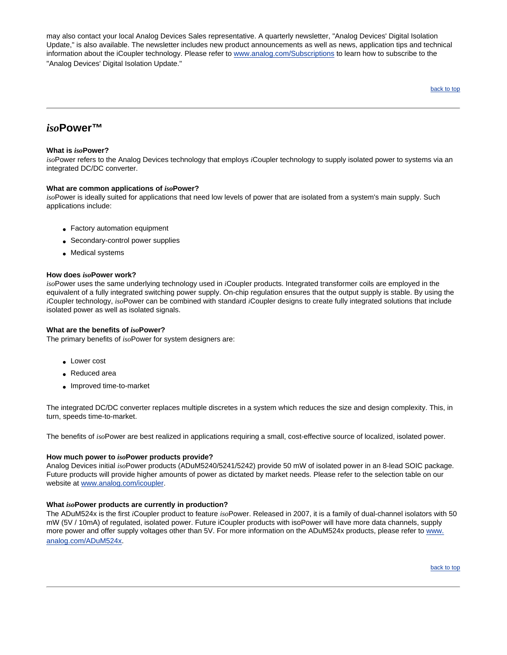may also contact your local Analog Devices Sales representative. A quarterly newsletter, "Analog Devices' Digital Isolation Update," is also available. The newsletter includes new product announcements as well as news, application tips and technical information about the iCoupler technology. Please refer to [www.analog.com/Subscriptions](http://www.analog.com/Subscriptions) to learn how to subscribe to the "Analog Devices' Digital Isolation Update."

[back to top](#page-0-0)

## *iso***Power™**

## <span id="page-7-0"></span>**What is** *iso***Power?**

*iso*Power refers to the Analog Devices technology that employs *i*Coupler technology to supply isolated power to systems via an integrated DC/DC converter.

## **What are common applications of** *iso***Power?**

*iso*Power is ideally suited for applications that need low levels of power that are isolated from a system's main supply. Such applications include:

- Factory automation equipment
- Secondary-control power supplies
- Medical systems

## <span id="page-7-1"></span>**How does** *iso***Power work?**

*iso*Power uses the same underlying technology used in *i*Coupler products. Integrated transformer coils are employed in the equivalent of a fully integrated switching power supply. On-chip regulation ensures that the output supply is stable. By using the *i*Coupler technology, *iso*Power can be combined with standard *i*Coupler designs to create fully integrated solutions that include isolated power as well as isolated signals.

## **What are the benefits of** *iso***Power?**

The primary benefits of *iso*Power for system designers are:

- Lower cost
- Reduced area
- Improved time-to-market

The integrated DC/DC converter replaces multiple discretes in a system which reduces the size and design complexity. This, in turn, speeds time-to-market.

The benefits of *iso*Power are best realized in applications requiring a small, cost-effective source of localized, isolated power.

## <span id="page-7-2"></span>**How much power to** *iso***Power products provide?**

Analog Devices initial *iso*Power products (ADuM5240/5241/5242) provide 50 mW of isolated power in an 8-lead SOIC package. Future products will provide higher amounts of power as dictated by market needs. Please refer to the selection table on our website at [www.analog.com/icoupler.](http://www.analog.com/icoupler)

## <span id="page-7-3"></span>**What** *iso***Power products are currently in production?**

The ADuM524x is the first *i*Coupler product to feature *iso*Power. Released in 2007, it is a family of dual-channel isolators with 50 mW (5V / 10mA) of regulated, isolated power. Future iCoupler products with isoPower will have more data channels, supply more power and offer supply voltages other than 5V. For more information on the ADuM524x products, please refer to [www.](http://www.analog.com/ADuM524x) [analog.com/ADuM524x](http://www.analog.com/ADuM524x).